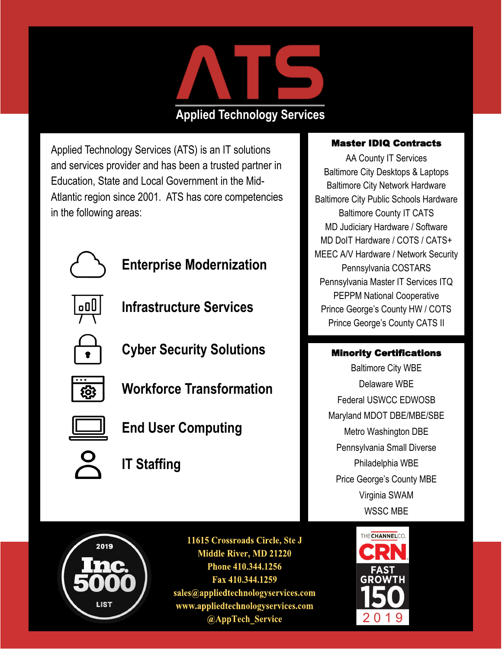

## **Applied Technology Services**

Applied Technology Services (ATS) is an IT solutions and services provider and has been a trusted partner in Education, State and Local Government in the Mid-Atlantic region since 2001. ATS has core competencies in the following areas:



**Enterprise Modernization**



**Infrastructure Services**

**Cyber Security Solutions**



**Workforce Transformation**



**End User Computing**

- - **IT Staffing**

## Master IDIQ Contracts

AA County IT Services Baltimore City Desktops & Laptops Baltimore City Network Hardware Baltimore City Public Schools Hardware Baltimore County IT CATS MD Judiciary Hardware / Software MD DoIT Hardware / COTS / CATS+ MEEC A/V Hardware / Network Security Pennsylvania COSTARS Pennsylvania Master IT Services ITQ PEPPM National Cooperative Prince George's County HW / COTS Prince George's County CATS II

## Minority Certifications

Baltimore City WBE Delaware WBE Federal USWCC EDWOSB Maryland MDOT DBE/MBE/SBE Metro Washington DBE Pennsylvania Small Diverse Philadelphia WBE Price George's County MBE Virginia SWAM WSSC MBE



11615 Crossroads Circle, Ste J **Middle River, MD 21220** Phone 410.344.1256 Fax 410.344.1259 sales@appliedtechnologyservices.com www.appliedtechnologyservices.com @AppTech Service